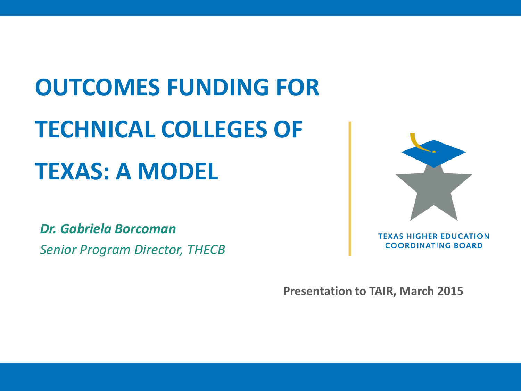# **OUTCOMES FUNDING FOR TECHNICAL COLLEGES OF TEXAS: A MODEL**

*Dr. Gabriela Borcoman Senior Program Director, THECB*

**Presentation to TAIR, March 2015**

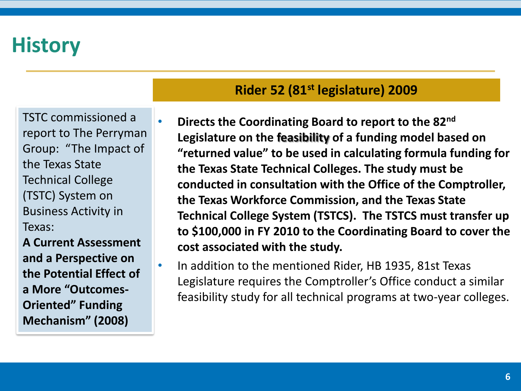TSTC commissioned a report to The Perryman Group: "The Impact of the Texas State Technical College (TSTC) System on Business Activity in Texas:

**A Current Assessment and a Perspective on the Potential Effect of a More "Outcomes-Oriented" Funding Mechanism" (2008)**

#### **Rider 52 (81st legislature) 2009**

- **Directs the Coordinating Board to report to the 82nd Legislature on the feasibility of a funding model based on "returned value" to be used in calculating formula funding for the Texas State Technical Colleges. The study must be conducted in consultation with the Office of the Comptroller, the Texas Workforce Commission, and the Texas State Technical College System (TSTCS). The TSTCS must transfer up to \$100,000 in FY 2010 to the Coordinating Board to cover the cost associated with the study.**
- In addition to the mentioned Rider, HB 1935, 81st Texas Legislature requires the Comptroller's Office conduct a similar feasibility study for all technical programs at two-year colleges.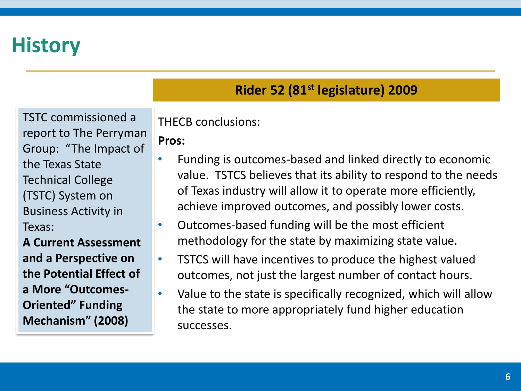TSTC commissioned a report to The Perryman Group: "The Impact of the Texas State Technical College (TSTC) System on Business Activity in Texas:

**A Current Assessment and a Perspective on the Potential Effect of a More "Outcomes-Oriented" Funding Mechanism" (2008)**

### **Rider 52 (81st legislature) 2009**

THECB conclusions:

#### **Pros:**

- Funding is outcomes-based and linked directly to economic value. TSTCS believes that its ability to respond to the needs of Texas industry will allow it to operate more efficiently, achieve improved outcomes, and possibly lower costs.
- Outcomes-based funding will be the most efficient methodology for the state by maximizing state value.
- TSTCS will have incentives to produce the highest valued outcomes, not just the largest number of contact hours.
	- Value to the state is specifically recognized, which will allow the state to more appropriately fund higher education successes.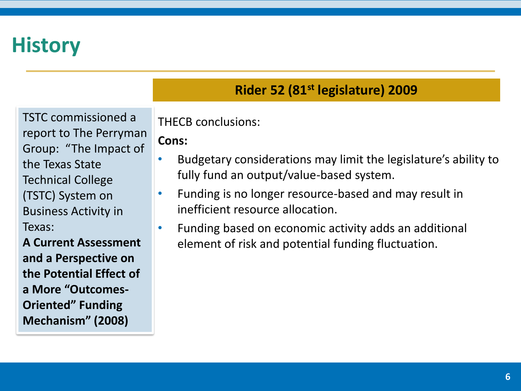TSTC commissioned a report to The Perryman Group: "The Impact of the Texas State Technical College (TSTC) System on Business Activity in Texas:

**A Current Assessment and a Perspective on the Potential Effect of a More "Outcomes-Oriented" Funding Mechanism" (2008)**

### **Rider 52 (81st legislature) 2009**

THECB conclusions:

#### **Cons:**

- Budgetary considerations may limit the legislature's ability to fully fund an output/value-based system.
- Funding is no longer resource-based and may result in inefficient resource allocation.
- Funding based on economic activity adds an additional element of risk and potential funding fluctuation.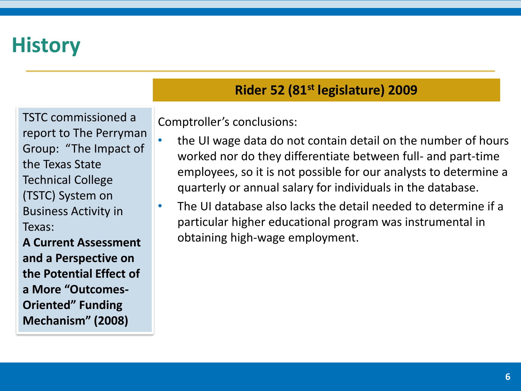TSTC commissioned a report to The Perryman Group: "The Impact of the Texas State Technical College (TSTC) System on Business Activity in Texas:

**A Current Assessment and a Perspective on the Potential Effect of a More "Outcomes-Oriented" Funding Mechanism" (2008)**

### **Rider 52 (81st legislature) 2009**

Comptroller's conclusions:

- the UI wage data do not contain detail on the number of hours worked nor do they differentiate between full- and part-time employees, so it is not possible for our analysts to determine a quarterly or annual salary for individuals in the database.
- The UI database also lacks the detail needed to determine if a particular higher educational program was instrumental in obtaining high-wage employment.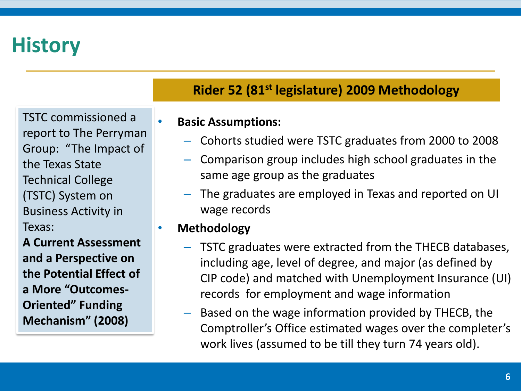TSTC commissioned a report to The Perryman Group: "The Impact of the Texas State Technical College (TSTC) System on Business Activity in Texas:

**A Current Assessment and a Perspective on the Potential Effect of a More "Outcomes-Oriented" Funding Mechanism" (2008)**

#### **Rider 52 (81st legislature) 2009 Methodology**

#### • **Basic Assumptions:**

- Cohorts studied were TSTC graduates from 2000 to 2008
- Comparison group includes high school graduates in the same age group as the graduates
- The graduates are employed in Texas and reported on UI wage records
- **Methodology**
	- TSTC graduates were extracted from the THECB databases, including age, level of degree, and major (as defined by CIP code) and matched with Unemployment Insurance (UI) records for employment and wage information
	- Based on the wage information provided by THECB, the Comptroller's Office estimated wages over the completer's work lives (assumed to be till they turn 74 years old).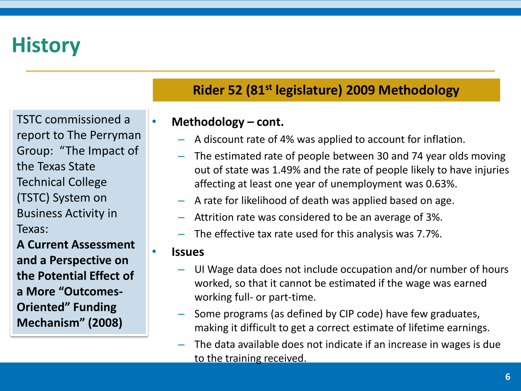TSTC commissioned a report to The Perryman Group: "The Impact of the Texas State Technical College (TSTC) System on Business Activity in Texas:

**A Current Assessment and a Perspective on the Potential Effect of a More "Outcomes-Oriented" Funding Mechanism" (2008)**

### **Rider 52 (81st legislature) 2009 Methodology**

#### • **Methodology – cont.**

- A discount rate of 4% was applied to account for inflation.
- The estimated rate of people between 30 and 74 year olds moving out of state was 1.49% and the rate of people likely to have injuries affecting at least one year of unemployment was 0.63%.
- A rate for likelihood of death was applied based on age.
- Attrition rate was considered to be an average of 3%.
- The effective tax rate used for this analysis was 7.7%.

#### • **Issues**

- UI Wage data does not include occupation and/or number of hours worked, so that it cannot be estimated if the wage was earned working full- or part-time.
- Some programs (as defined by CIP code) have few graduates, making it difficult to get a correct estimate of lifetime earnings.
- The data available does not indicate if an increase in wages is due to the training received.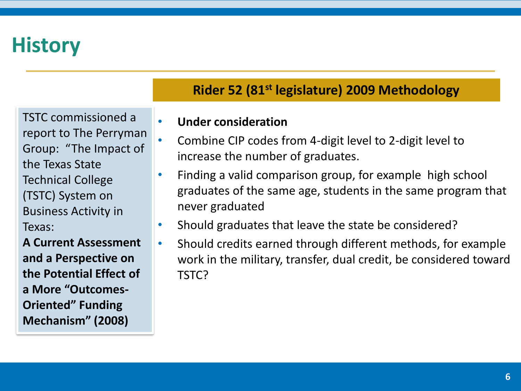TSTC commissioned a report to The Perryman Group: "The Impact of the Texas State Technical College (TSTC) System on Business Activity in Texas:

**A Current Assessment and a Perspective on the Potential Effect of a More "Outcomes-Oriented" Funding Mechanism" (2008)**

### **Rider 52 (81st legislature) 2009 Methodology**

#### • **Under consideration**

- Combine CIP codes from 4-digit level to 2-digit level to increase the number of graduates.
- Finding a valid comparison group, for example high school graduates of the same age, students in the same program that never graduated
- Should graduates that leave the state be considered?
- Should credits earned through different methods, for example work in the military, transfer, dual credit, be considered toward TSTC?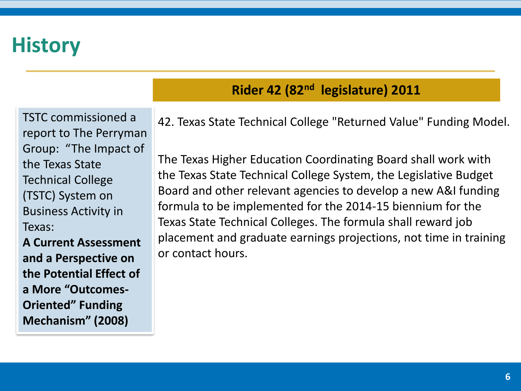TSTC commissioned a report to The Perryman Group: "The Impact of the Texas State Technical College (TSTC) System on Business Activity in Texas:

**A Current Assessment and a Perspective on the Potential Effect of a More "Outcomes-Oriented" Funding Mechanism" (2008)**

### **Rider 42 (82nd legislature) 2011**

42. Texas State Technical College "Returned Value" Funding Model.

The Texas Higher Education Coordinating Board shall work with the Texas State Technical College System, the Legislative Budget Board and other relevant agencies to develop a new A&I funding formula to be implemented for the 2014-15 biennium for the Texas State Technical Colleges. The formula shall reward job placement and graduate earnings projections, not time in training or contact hours.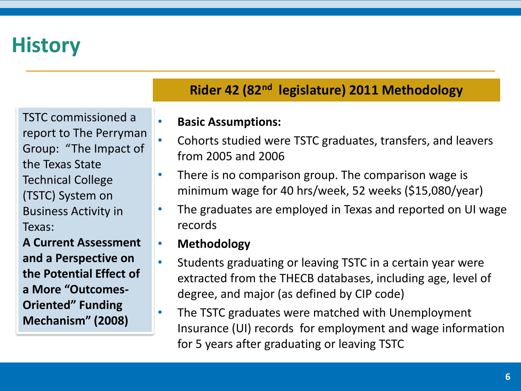TSTC commissioned a report to The Perryman Group: "The Impact of the Texas State Technical College (TSTC) System on Business Activity in Texas:

**A Current Assessment and a Perspective on the Potential Effect of a More "Outcomes-Oriented" Funding Mechanism" (2008)**

### **Rider 42 (82nd legislature) 2011 Methodology**

#### • **Basic Assumptions:**

- Cohorts studied were TSTC graduates, transfers, and leavers from 2005 and 2006
- There is no comparison group. The comparison wage is minimum wage for 40 hrs/week, 52 weeks (\$15,080/year)
- The graduates are employed in Texas and reported on UI wage records
- **Methodology**
- Students graduating or leaving TSTC in a certain year were extracted from the THECB databases, including age, level of degree, and major (as defined by CIP code)
- The TSTC graduates were matched with Unemployment Insurance (UI) records for employment and wage information for 5 years after graduating or leaving TSTC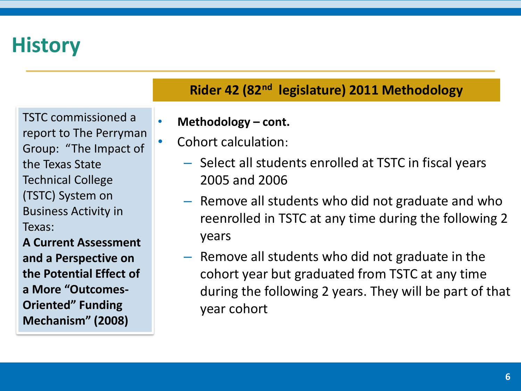TSTC commissioned a report to The Perryman Group: "The Impact of the Texas State Technical College (TSTC) System on Business Activity in Texas:

**A Current Assessment and a Perspective on the Potential Effect of a More "Outcomes-Oriented" Funding Mechanism" (2008)**

- **Methodology – cont.**
- Cohort calculation:
	- Select all students enrolled at TSTC in fiscal years 2005 and 2006
	- Remove all students who did not graduate and who reenrolled in TSTC at any time during the following 2 years
	- Remove all students who did not graduate in the cohort year but graduated from TSTC at any time during the following 2 years. They will be part of that year cohort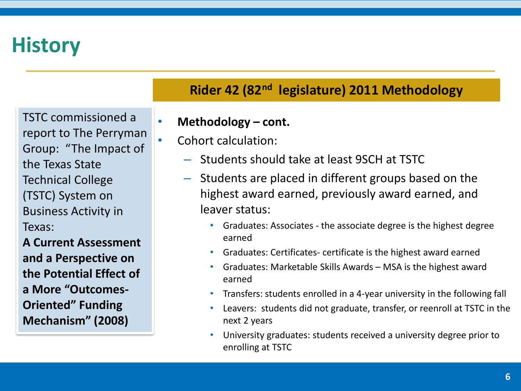TSTC commissioned a report to The Perryman Group: "The Impact of the Texas State Technical College (TSTC) System on Business Activity in Texas:

**A Current Assessment and a Perspective on the Potential Effect of a More "Outcomes-Oriented" Funding Mechanism" (2008)**

- **Methodology – cont.**
- Cohort calculation:
	- Students should take at least 9SCH at TSTC
	- Students are placed in different groups based on the highest award earned, previously award earned, and leaver status:
		- Graduates: Associates the associate degree is the highest degree earned
		- Graduates: Certificates- certificate is the highest award earned
		- Graduates: Marketable Skills Awards MSA is the highest award earned
		- Transfers: students enrolled in a 4-year university in the following fall
		- Leavers: students did not graduate, transfer, or reenroll at TSTC in the next 2 years
		- University graduates: students received a university degree prior to enrolling at TSTC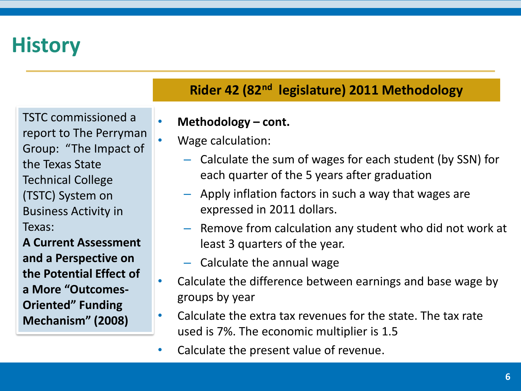TSTC commissioned a report to The Perryman Group: "The Impact of the Texas State Technical College (TSTC) System on Business Activity in Texas:

**A Current Assessment and a Perspective on the Potential Effect of a More "Outcomes-Oriented" Funding Mechanism" (2008)**

- **Methodology – cont.**
- Wage calculation:
	- Calculate the sum of wages for each student (by SSN) for each quarter of the 5 years after graduation
	- Apply inflation factors in such a way that wages are expressed in 2011 dollars.
	- Remove from calculation any student who did not work at least 3 quarters of the year.
	- Calculate the annual wage
- Calculate the difference between earnings and base wage by groups by year
- Calculate the extra tax revenues for the state. The tax rate used is 7%. The economic multiplier is 1.5
- Calculate the present value of revenue.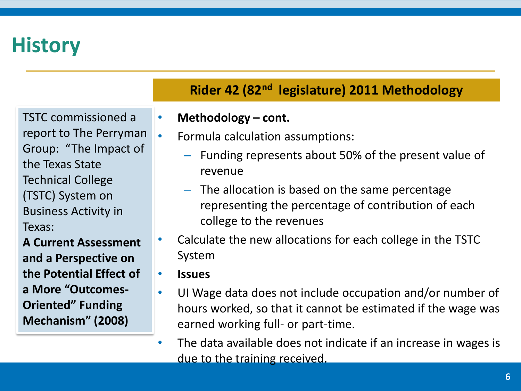TSTC commissioned a report to The Perryman Group: "The Impact of the Texas State Technical College (TSTC) System on Business Activity in Texas:

**A Current Assessment and a Perspective on the Potential Effect of a More "Outcomes-Oriented" Funding Mechanism" (2008)**

- **Methodology – cont.**
- Formula calculation assumptions:
	- Funding represents about 50% of the present value of revenue
	- The allocation is based on the same percentage representing the percentage of contribution of each college to the revenues
- Calculate the new allocations for each college in the TSTC System
- **Issues**
- UI Wage data does not include occupation and/or number of hours worked, so that it cannot be estimated if the wage was earned working full- or part-time.
- The data available does not indicate if an increase in wages is due to the training received.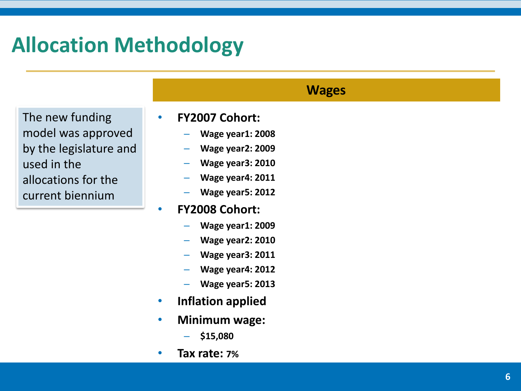The new funding model was approved by the legislature and used in the allocations for the current biennium

#### • **FY2007 Cohort:**

– **Wage year1: 2008**

**Wages**

- **Wage year2: 2009**
- **Wage year3: 2010**
- **Wage year4: 2011**
- **Wage year5: 2012**
- **FY2008 Cohort:**
	- **Wage year1: 2009**
	- **Wage year2: 2010**
	- **Wage year3: 2011**
	- **Wage year4: 2012**
	- **Wage year5: 2013**
- **Inflation applied**
- **Minimum wage:**
	- **\$15,080**
- **Tax rate: 7%**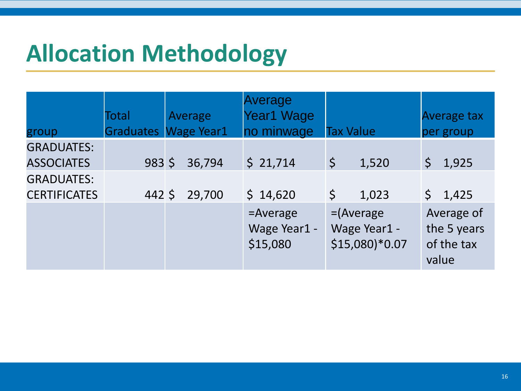|                                          | Total            | Average           | Average<br>Year1 Wage                   |                                                 | <b>Average tax</b>                               |
|------------------------------------------|------------------|-------------------|-----------------------------------------|-------------------------------------------------|--------------------------------------------------|
| group                                    | <b>Graduates</b> | <b>Wage Year1</b> | no minwage                              | <b>Tax Value</b>                                | per group                                        |
| <b>GRADUATES:</b><br><b>ASSOCIATES</b>   | $983 \;$ \$      | 36,794            | \$21,714                                | $\zeta$<br>1,520                                | $\zeta$<br>1,925                                 |
| <b>GRADUATES:</b><br><b>CERTIFICATES</b> | 442 \$           | 29,700            | \$14,620                                | $\zeta$<br>1,023                                | \$1,425                                          |
|                                          |                  |                   | $=$ Average<br>Wage Year1 -<br>\$15,080 | $=$ (Average<br>Wage Year1 -<br>$$15,080$ *0.07 | Average of<br>the 5 years<br>of the tax<br>value |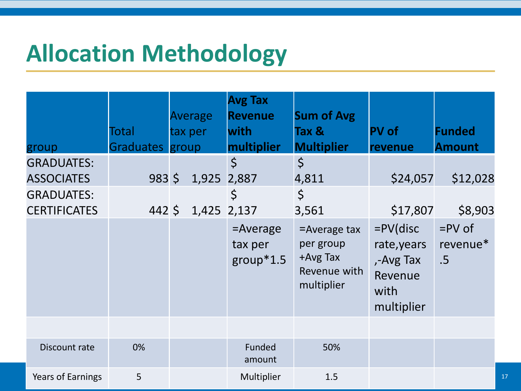| group                                                                              | Total<br>Graduates group | Average<br>tax per | <b>Avg Tax</b><br><b>Revenue</b><br>with<br><b>multiplier</b> | <b>Sum of Avg</b><br>Tax &<br><b>Multiplier</b>                        | <b>PV</b> of<br>revenue                                                  | <b>Funded</b><br><b>Amount</b> |
|------------------------------------------------------------------------------------|--------------------------|--------------------|---------------------------------------------------------------|------------------------------------------------------------------------|--------------------------------------------------------------------------|--------------------------------|
| <b>GRADUATES:</b><br><b>ASSOCIATES</b><br><b>GRADUATES:</b><br><b>CERTIFICATES</b> | 9835<br>$442\frac{1}{5}$ |                    | $\zeta$<br>1,925 2,887<br>$\zeta$<br>1,425 2,137              | $\zeta$<br>4,811<br>$\zeta$<br>3,561                                   | \$24,057<br>\$17,807                                                     | \$12,028<br>\$8,903            |
|                                                                                    |                          |                    | $=$ Average<br>tax per<br>$group*1.5$                         | $=$ Average tax<br>per group<br>+Avg Tax<br>Revenue with<br>multiplier | $=PV$ (disc<br>rate, years<br>,-Avg Tax<br>Revenue<br>with<br>multiplier | $=$ PV of<br>revenue*<br>.5    |
| Discount rate                                                                      | 0%                       |                    | Funded<br>amount                                              | 50%                                                                    |                                                                          |                                |
| <b>Years of Earnings</b>                                                           | 5                        |                    | Multiplier                                                    | 1.5                                                                    |                                                                          |                                |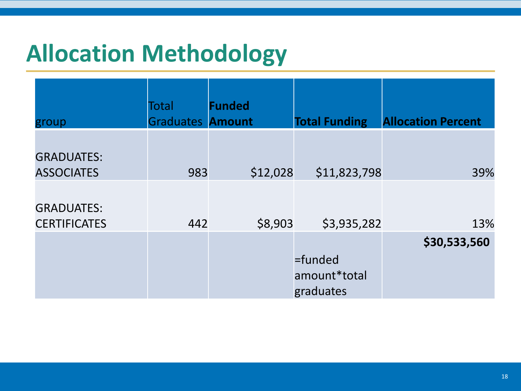| group                                    | Total<br><b>Graduates Amount</b> | <b>Funded</b> | <b>Total Funding</b>                 | <b>Allocation Percent</b> |
|------------------------------------------|----------------------------------|---------------|--------------------------------------|---------------------------|
| <b>GRADUATES:</b><br><b>ASSOCIATES</b>   | 983                              | \$12,028      | \$11,823,798                         | 39%                       |
| <b>GRADUATES:</b><br><b>CERTIFICATES</b> | 442                              | \$8,903       | \$3,935,282                          | 13%                       |
|                                          |                                  |               | =funded<br>amount*total<br>graduates | \$30,533,560              |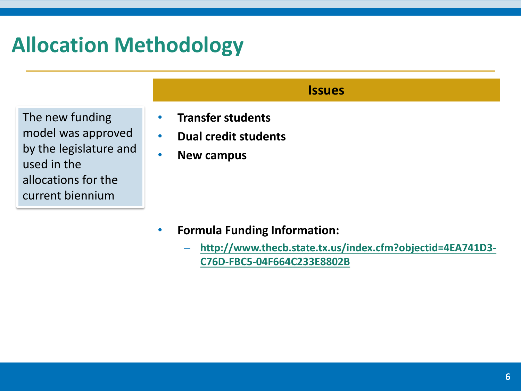The new funding model was approved by the legislature and used in the allocations for the current biennium

### • **Transfer students**

- **Dual credit students**
- **New campus**

- **Formula Funding Information:**
	- **[http://www.thecb.state.tx.us/index.cfm?objectid=4EA741D3-](http://www.thecb.state.tx.us/index.cfm?objectid=4EA741D3-C76D-FBC5-04F664C233E8802B) C76D-FBC5-04F664C233E8802B**

**Issues**